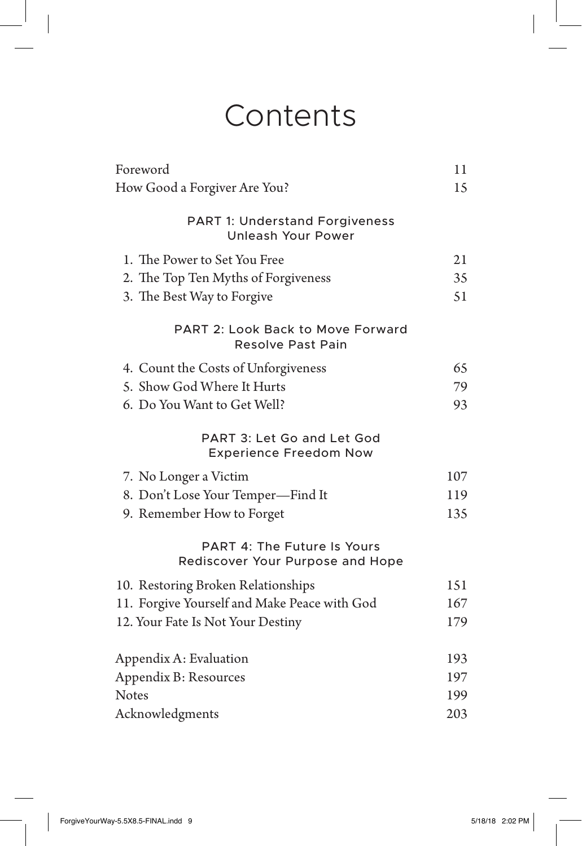# Contents

| Foreword                                                               | 11  |
|------------------------------------------------------------------------|-----|
| How Good a Forgiver Are You?                                           | 15  |
| <b>PART 1: Understand Forgiveness</b><br><b>Unleash Your Power</b>     |     |
| 1. The Power to Set You Free                                           | 21  |
| 2. The Top Ten Myths of Forgiveness                                    | 35  |
| 3. The Best Way to Forgive                                             | 51  |
| PART 2: Look Back to Move Forward<br>Resolve Past Pain                 |     |
| 4. Count the Costs of Unforgiveness                                    | 65  |
| 5. Show God Where It Hurts                                             | 79  |
| 6. Do You Want to Get Well?                                            | 93  |
| PART 3: Let Go and Let God<br><b>Experience Freedom Now</b>            |     |
| 7. No Longer a Victim                                                  | 107 |
| 8. Don't Lose Your Temper-Find It                                      | 119 |
| 9. Remember How to Forget                                              | 135 |
| <b>PART 4: The Future Is Yours</b><br>Rediscover Your Purpose and Hope |     |
| 10. Restoring Broken Relationships                                     | 151 |
| 11. Forgive Yourself and Make Peace with God                           | 167 |
| 12. Your Fate Is Not Your Destiny                                      | 179 |
| Appendix A: Evaluation                                                 | 193 |
| Appendix B: Resources                                                  | 197 |
| <b>Notes</b>                                                           | 199 |
| Acknowledgments                                                        | 203 |
|                                                                        |     |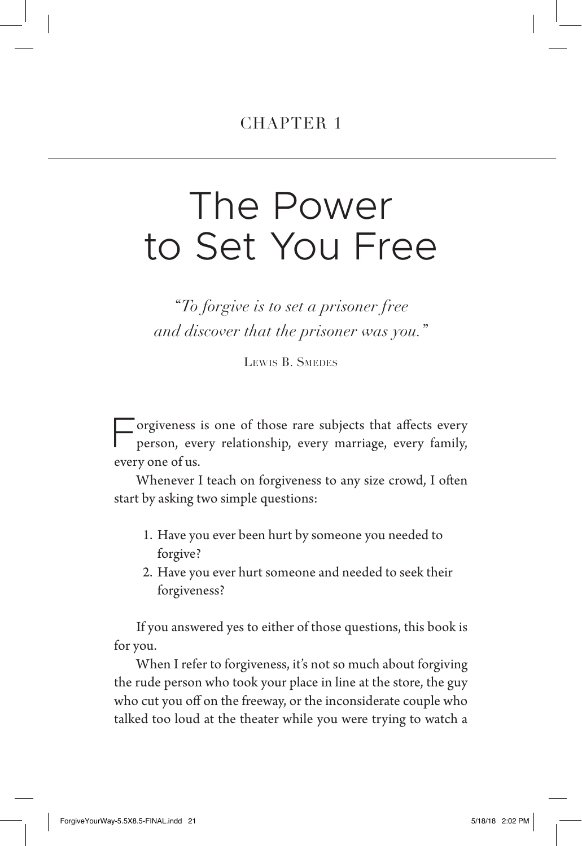# The Power to Set You Free

*"To forgive is to set a prisoner free and discover that the prisoner was you."*

Lewis B. Smedes

orgiveness is one of those rare subjects that affects every person, every relationship, every marriage, every family, every one of us.

Whenever I teach on forgiveness to any size crowd, I often start by asking two simple questions:

- 1. Have you ever been hurt by someone you needed to forgive?
- 2. Have you ever hurt someone and needed to seek their forgiveness?

If you answered yes to either of those questions, this book is for you.

When I refer to forgiveness, it's not so much about forgiving the rude person who took your place in line at the store, the guy who cut you off on the freeway, or the inconsiderate couple who talked too loud at the theater while you were trying to watch a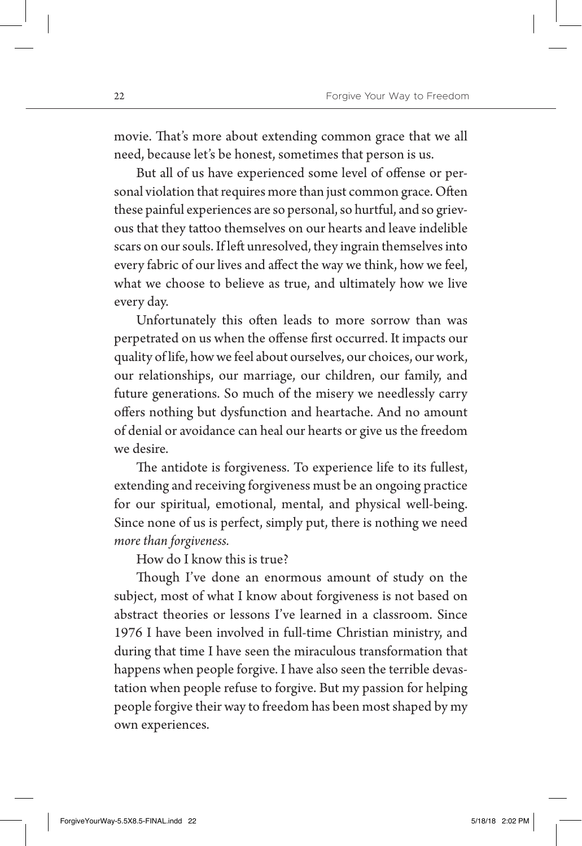movie. That's more about extending common grace that we all need, because let's be honest, sometimes that person is us.

But all of us have experienced some level of offense or personal violation that requires more than just common grace. Often these painful experiences are so personal, so hurtful, and so grievous that they tattoo themselves on our hearts and leave indelible scars on our souls. If left unresolved, they ingrain themselves into every fabric of our lives and affect the way we think, how we feel, what we choose to believe as true, and ultimately how we live every day.

Unfortunately this often leads to more sorrow than was perpetrated on us when the offense first occurred. It impacts our quality of life, how we feel about ourselves, our choices, our work, our relationships, our marriage, our children, our family, and future generations. So much of the misery we needlessly carry offers nothing but dysfunction and heartache. And no amount of denial or avoidance can heal our hearts or give us the freedom we desire.

The antidote is forgiveness. To experience life to its fullest, extending and receiving forgiveness must be an ongoing practice for our spiritual, emotional, mental, and physical well-being. Since none of us is perfect, simply put, there is nothing we need *more than forgiveness.* 

How do I know this is true?

Though I've done an enormous amount of study on the subject, most of what I know about forgiveness is not based on abstract theories or lessons I've learned in a classroom. Since 1976 I have been involved in full-time Christian ministry, and during that time I have seen the miraculous transformation that happens when people forgive. I have also seen the terrible devastation when people refuse to forgive. But my passion for helping people forgive their way to freedom has been most shaped by my own experiences.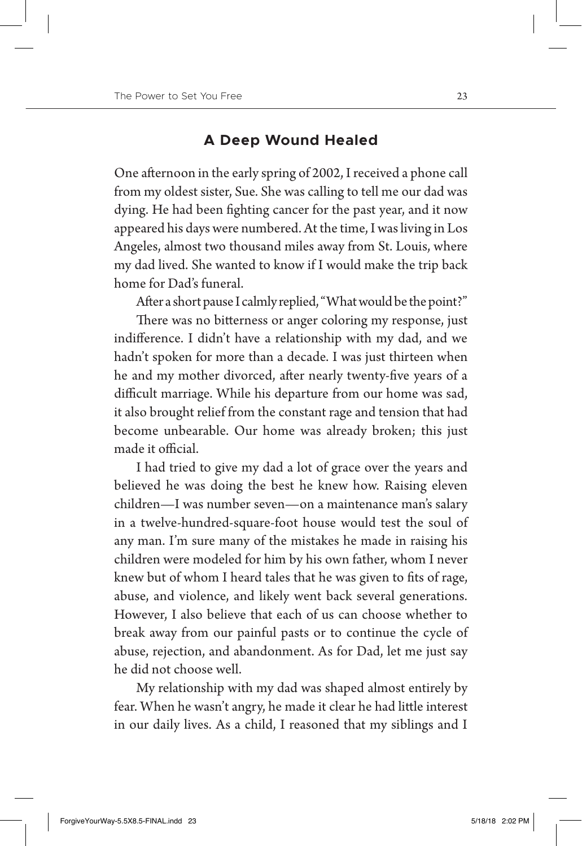#### **A Deep Wound Healed**

One afternoon in the early spring of 2002, I received a phone call from my oldest sister, Sue. She was calling to tell me our dad was dying. He had been fighting cancer for the past year, and it now appeared his days were numbered. At the time, I was living in Los Angeles, almost two thousand miles away from St. Louis, where my dad lived. She wanted to know if I would make the trip back home for Dad's funeral.

After a short pause I calmly replied, "What would be the point?"

There was no bitterness or anger coloring my response, just indifference. I didn't have a relationship with my dad, and we hadn't spoken for more than a decade. I was just thirteen when he and my mother divorced, after nearly twenty-five years of a difficult marriage. While his departure from our home was sad, it also brought relief from the constant rage and tension that had become unbearable. Our home was already broken; this just made it official.

I had tried to give my dad a lot of grace over the years and believed he was doing the best he knew how. Raising eleven children—I was number seven—on a maintenance man's salary in a twelve-hundred-square-foot house would test the soul of any man. I'm sure many of the mistakes he made in raising his children were modeled for him by his own father, whom I never knew but of whom I heard tales that he was given to fits of rage, abuse, and violence, and likely went back several generations. However, I also believe that each of us can choose whether to break away from our painful pasts or to continue the cycle of abuse, rejection, and abandonment. As for Dad, let me just say he did not choose well.

My relationship with my dad was shaped almost entirely by fear. When he wasn't angry, he made it clear he had little interest in our daily lives. As a child, I reasoned that my siblings and I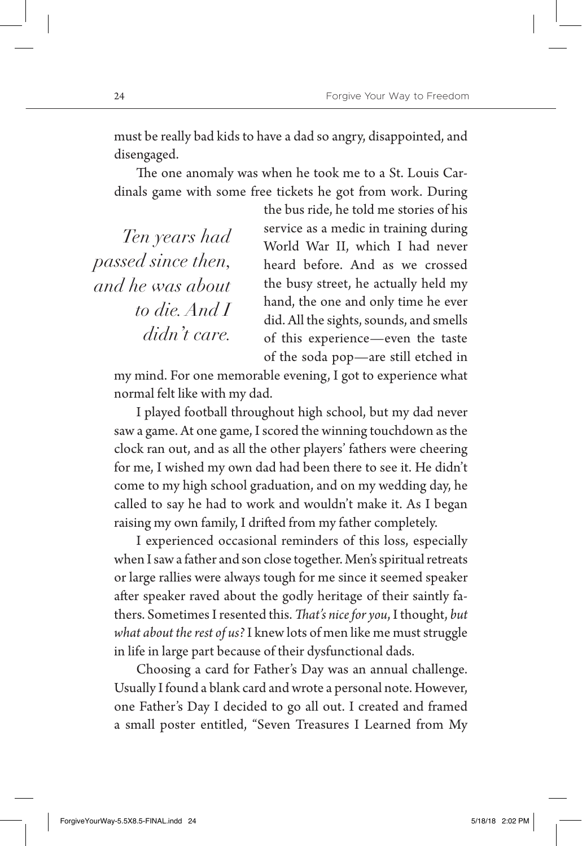must be really bad kids to have a dad so angry, disappointed, and disengaged.

The one anomaly was when he took me to a St. Louis Cardinals game with some free tickets he got from work. During

*Ten years had passed since then, and he was about to die. And I didn't care.*

the bus ride, he told me stories of his service as a medic in training during World War II, which I had never heard before. And as we crossed the busy street, he actually held my hand, the one and only time he ever did. All the sights, sounds, and smells of this experience—even the taste of the soda pop—are still etched in

my mind. For one memorable evening, I got to experience what normal felt like with my dad.

I played football throughout high school, but my dad never saw a game. At one game, I scored the winning touchdown as the clock ran out, and as all the other players' fathers were cheering for me, I wished my own dad had been there to see it. He didn't come to my high school graduation, and on my wedding day, he called to say he had to work and wouldn't make it. As I began raising my own family, I drifted from my father completely.

I experienced occasional reminders of this loss, especially when I saw a father and son close together. Men's spiritual retreats or large rallies were always tough for me since it seemed speaker after speaker raved about the godly heritage of their saintly fathers. Sometimes I resented this. *That's nice for you*, I thought, *but what about the rest of us?* I knew lots of men like me must struggle in life in large part because of their dysfunctional dads.

Choosing a card for Father's Day was an annual challenge. Usually I found a blank card and wrote a personal note. However, one Father's Day I decided to go all out. I created and framed a small poster entitled, "Seven Treasures I Learned from My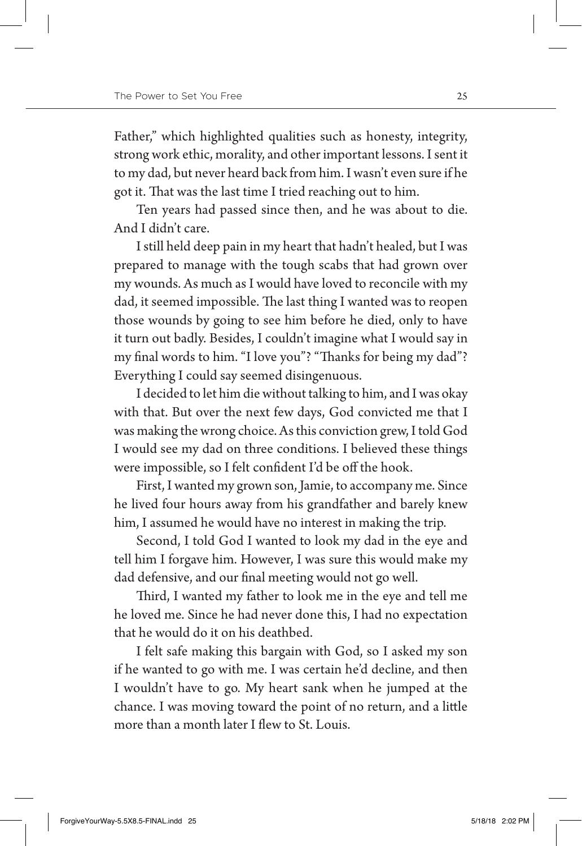Father," which highlighted qualities such as honesty, integrity, strong work ethic, morality, and other important lessons. I sent it to my dad, but never heard back from him. I wasn't even sure if he got it. That was the last time I tried reaching out to him.

Ten years had passed since then, and he was about to die. And I didn't care.

I still held deep pain in my heart that hadn't healed, but I was prepared to manage with the tough scabs that had grown over my wounds. As much as I would have loved to reconcile with my dad, it seemed impossible. The last thing I wanted was to reopen those wounds by going to see him before he died, only to have it turn out badly. Besides, I couldn't imagine what I would say in my final words to him. "I love you"? "Thanks for being my dad"? Everything I could say seemed disingenuous.

I decided to let him die without talking to him, and I was okay with that. But over the next few days, God convicted me that I was making the wrong choice. As this conviction grew, I told God I would see my dad on three conditions. I believed these things were impossible, so I felt confident I'd be off the hook.

First, I wanted my grown son, Jamie, to accompany me. Since he lived four hours away from his grandfather and barely knew him, I assumed he would have no interest in making the trip.

Second, I told God I wanted to look my dad in the eye and tell him I forgave him. However, I was sure this would make my dad defensive, and our final meeting would not go well.

Third, I wanted my father to look me in the eye and tell me he loved me. Since he had never done this, I had no expectation that he would do it on his deathbed.

I felt safe making this bargain with God, so I asked my son if he wanted to go with me. I was certain he'd decline, and then I wouldn't have to go. My heart sank when he jumped at the chance. I was moving toward the point of no return, and a little more than a month later I flew to St. Louis.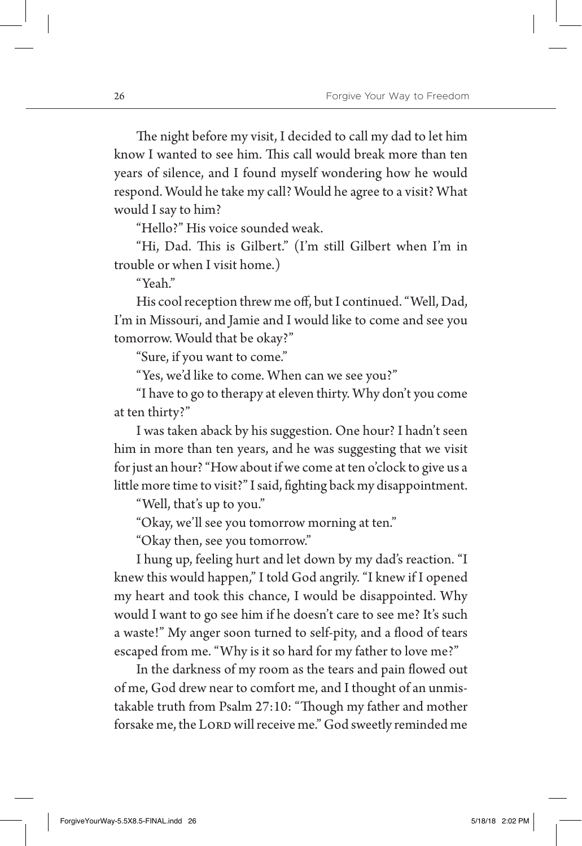The night before my visit, I decided to call my dad to let him know I wanted to see him. This call would break more than ten years of silence, and I found myself wondering how he would respond. Would he take my call? Would he agree to a visit? What would I say to him?

"Hello?" His voice sounded weak.

"Hi, Dad. This is Gilbert." (I'm still Gilbert when I'm in trouble or when I visit home.)

"Yeah."

His cool reception threw me off, but I continued. "Well, Dad, I'm in Missouri, and Jamie and I would like to come and see you tomorrow. Would that be okay?"

"Sure, if you want to come."

"Yes, we'd like to come. When can we see you?"

"I have to go to therapy at eleven thirty. Why don't you come at ten thirty?"

I was taken aback by his suggestion. One hour? I hadn't seen him in more than ten years, and he was suggesting that we visit for just an hour? "How about if we come at ten o'clock to give us a little more time to visit?" I said, fighting back my disappointment.

"Well, that's up to you."

"Okay, we'll see you tomorrow morning at ten."

"Okay then, see you tomorrow."

I hung up, feeling hurt and let down by my dad's reaction. "I knew this would happen," I told God angrily. "I knew if I opened my heart and took this chance, I would be disappointed. Why would I want to go see him if he doesn't care to see me? It's such a waste!" My anger soon turned to self-pity, and a flood of tears escaped from me. "Why is it so hard for my father to love me?"

In the darkness of my room as the tears and pain flowed out of me, God drew near to comfort me, and I thought of an unmistakable truth from Psalm 27:10: "Though my father and mother forsake me, the LORD will receive me." God sweetly reminded me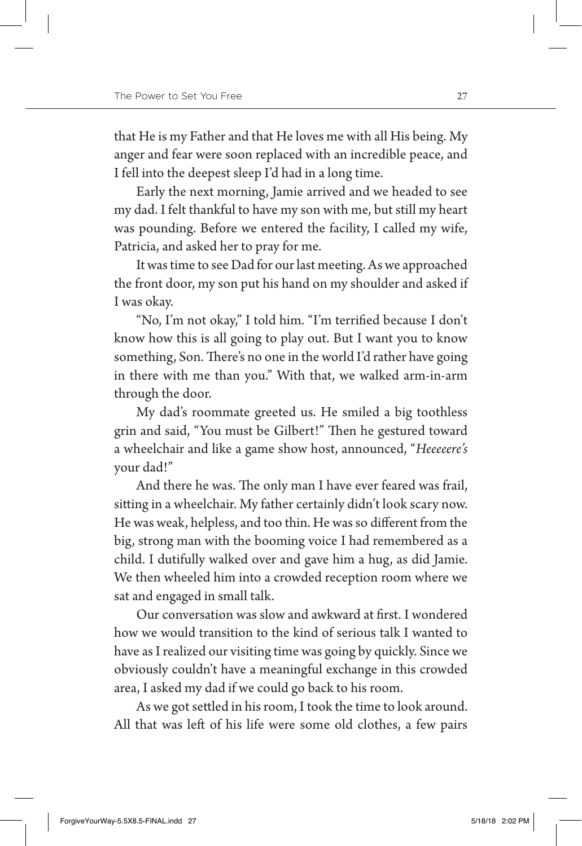that He is my Father and that He loves me with all His being. My anger and fear were soon replaced with an incredible peace, and I fell into the deepest sleep I'd had in a long time.

Early the next morning, Jamie arrived and we headed to see my dad. I felt thankful to have my son with me, but still my heart was pounding. Before we entered the facility, I called my wife, Patricia, and asked her to pray for me.

It was time to see Dad for our last meeting. As we approached the front door, my son put his hand on my shoulder and asked if I was okay.

"No, I'm not okay," I told him. "I'm terrified because I don't know how this is all going to play out. But I want you to know something, Son. There's no one in the world I'd rather have going in there with me than you." With that, we walked arm-in-arm through the door.

My dad's roommate greeted us. He smiled a big toothless grin and said, "You must be Gilbert!" Then he gestured toward a wheelchair and like a game show host, announced, "*Heeeeere's*  your dad!"

And there he was. The only man I have ever feared was frail, sitting in a wheelchair. My father certainly didn't look scary now. He was weak, helpless, and too thin. He was so different from the big, strong man with the booming voice I had remembered as a child. I dutifully walked over and gave him a hug, as did Jamie. We then wheeled him into a crowded reception room where we sat and engaged in small talk.

Our conversation was slow and awkward at first. I wondered how we would transition to the kind of serious talk I wanted to have as I realized our visiting time was going by quickly. Since we obviously couldn't have a meaningful exchange in this crowded area, I asked my dad if we could go back to his room.

As we got settled in his room, I took the time to look around. All that was left of his life were some old clothes, a few pairs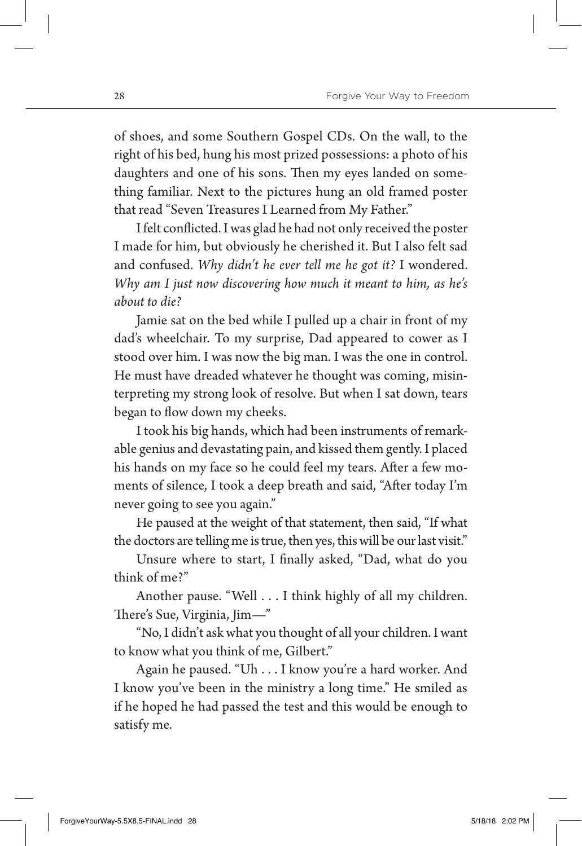of shoes, and some Southern Gospel CDs. On the wall, to the right of his bed, hung his most prized possessions: a photo of his daughters and one of his sons. Then my eyes landed on something familiar. Next to the pictures hung an old framed poster that read "Seven Treasures I Learned from My Father."

I felt conflicted. I was glad he had not only received the poster I made for him, but obviously he cherished it. But I also felt sad and confused. *Why didn't he ever tell me he got it?* I wondered. *Why am I just now discovering how much it meant to him, as he's about to die?* 

Jamie sat on the bed while I pulled up a chair in front of my dad's wheelchair. To my surprise, Dad appeared to cower as I stood over him. I was now the big man. I was the one in control. He must have dreaded whatever he thought was coming, misinterpreting my strong look of resolve. But when I sat down, tears began to flow down my cheeks.

I took his big hands, which had been instruments of remarkable genius and devastating pain, and kissed them gently. I placed his hands on my face so he could feel my tears. After a few moments of silence, I took a deep breath and said, "After today I'm never going to see you again."

He paused at the weight of that statement, then said, "If what the doctors are telling me is true, then yes, this will be our last visit."

Unsure where to start, I finally asked, "Dad, what do you think of me?"

Another pause. "Well . . . I think highly of all my children. There's Sue, Virginia, Jim—"

"No, I didn't ask what you thought of all your children. I want to know what you think of me, Gilbert."

Again he paused. "Uh . . . I know you're a hard worker. And I know you've been in the ministry a long time." He smiled as if he hoped he had passed the test and this would be enough to satisfy me.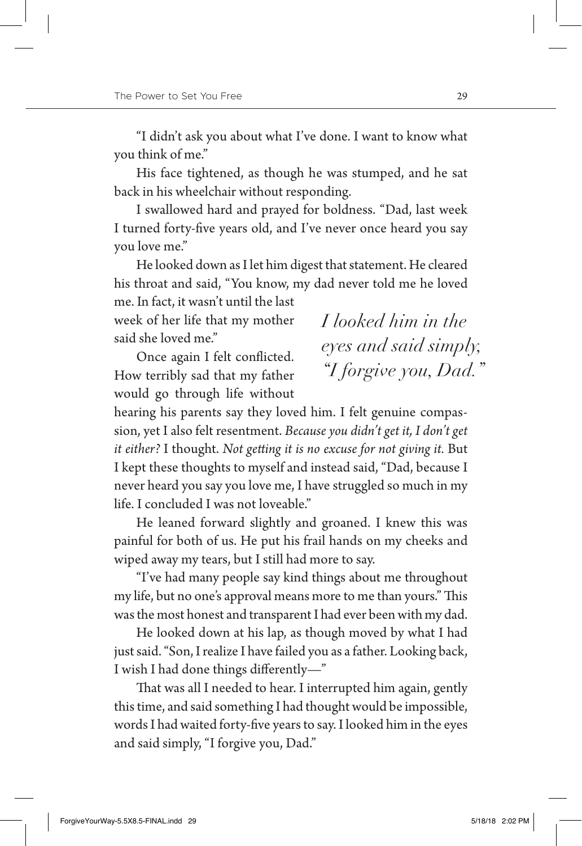"I didn't ask you about what I've done. I want to know what you think of me."

His face tightened, as though he was stumped, and he sat back in his wheelchair without responding.

I swallowed hard and prayed for boldness. "Dad, last week I turned forty-five years old, and I've never once heard you say you love me."

He looked down as I let him digest that statement. He cleared his throat and said, "You know, my dad never told me he loved me. In fact, it wasn't until the last

week of her life that my mother said she loved me."

Once again I felt conflicted. How terribly sad that my father would go through life without *I looked him in the eyes and said simply, "I forgive you, Dad."*

hearing his parents say they loved him. I felt genuine compassion, yet I also felt resentment. *Because you didn't get it, I don't get it either?* I thought. *Not getting it is no excuse for not giving it.* But I kept these thoughts to myself and instead said, "Dad, because I never heard you say you love me, I have struggled so much in my life. I concluded I was not loveable."

He leaned forward slightly and groaned. I knew this was painful for both of us. He put his frail hands on my cheeks and wiped away my tears, but I still had more to say.

"I've had many people say kind things about me throughout my life, but no one's approval means more to me than yours." This was the most honest and transparent I had ever been with my dad.

He looked down at his lap, as though moved by what I had just said. "Son, I realize I have failed you as a father. Looking back, I wish I had done things differently—"

That was all I needed to hear. I interrupted him again, gently this time, and said something I had thought would be impossible, words I had waited forty-five years to say. I looked him in the eyes and said simply, "I forgive you, Dad."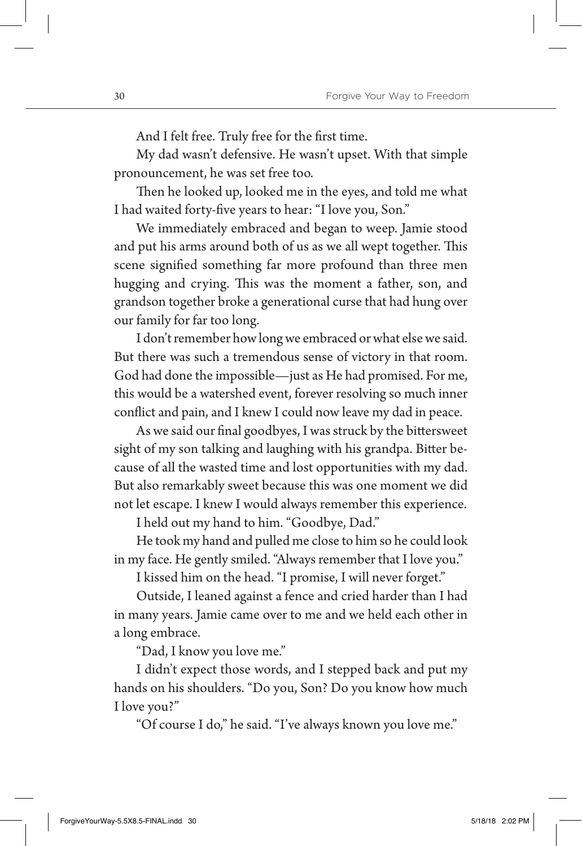And I felt free. Truly free for the first time.

My dad wasn't defensive. He wasn't upset. With that simple pronouncement, he was set free too.

Then he looked up, looked me in the eyes, and told me what I had waited forty-five years to hear: "I love you, Son."

We immediately embraced and began to weep. Jamie stood and put his arms around both of us as we all wept together. This scene signified something far more profound than three men hugging and crying. This was the moment a father, son, and grandson together broke a generational curse that had hung over our family for far too long.

I don't remember how long we embraced or what else we said. But there was such a tremendous sense of victory in that room. God had done the impossible—just as He had promised. For me, this would be a watershed event, forever resolving so much inner conflict and pain, and I knew I could now leave my dad in peace.

As we said our final goodbyes, I was struck by the bittersweet sight of my son talking and laughing with his grandpa. Bitter because of all the wasted time and lost opportunities with my dad. But also remarkably sweet because this was one moment we did not let escape. I knew I would always remember this experience.

I held out my hand to him. "Goodbye, Dad."

He took my hand and pulled me close to him so he could look in my face. He gently smiled. "Always remember that I love you."

I kissed him on the head. "I promise, I will never forget."

Outside, I leaned against a fence and cried harder than I had in many years. Jamie came over to me and we held each other in a long embrace.

"Dad, I know you love me."

I didn't expect those words, and I stepped back and put my hands on his shoulders. "Do you, Son? Do you know how much I love you?"

"Of course I do," he said. "I've always known you love me."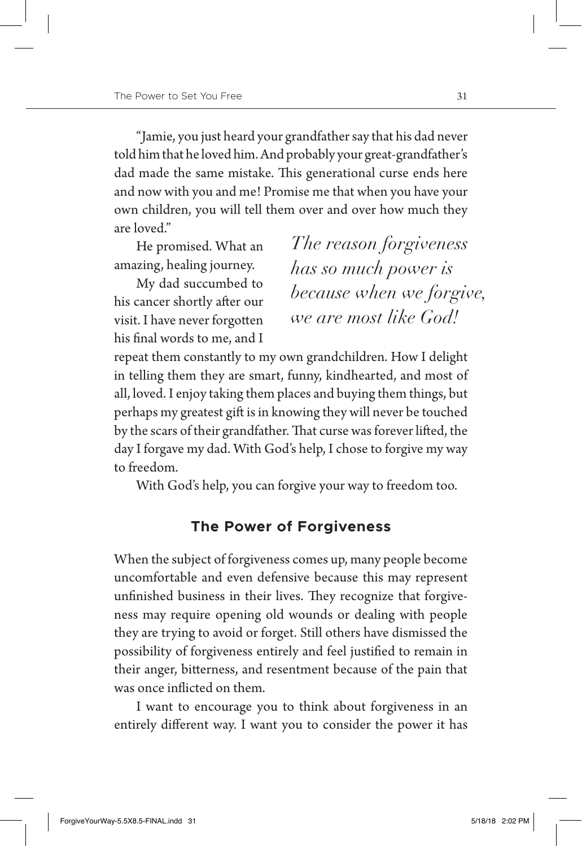"Jamie, you just heard your grandfather say that his dad never told him that he loved him. And probably your great-grandfather's dad made the same mistake. This generational curse ends here and now with you and me! Promise me that when you have your own children, you will tell them over and over how much they are loved."

He promised. What an amazing, healing journey.

My dad succumbed to his cancer shortly after our visit. I have never forgotten his final words to me, and I

*The reason forgiveness has so much power is because when we forgive, we are most like God!*

repeat them constantly to my own grandchildren. How I delight in telling them they are smart, funny, kindhearted, and most of all, loved. I enjoy taking them places and buying them things, but perhaps my greatest gift is in knowing they will never be touched by the scars of their grandfather. That curse was forever lifted, the day I forgave my dad. With God's help, I chose to forgive my way to freedom.

With God's help, you can forgive your way to freedom too.

#### **The Power of Forgiveness**

When the subject of forgiveness comes up, many people become uncomfortable and even defensive because this may represent unfinished business in their lives. They recognize that forgiveness may require opening old wounds or dealing with people they are trying to avoid or forget. Still others have dismissed the possibility of forgiveness entirely and feel justified to remain in their anger, bitterness, and resentment because of the pain that was once inflicted on them.

I want to encourage you to think about forgiveness in an entirely different way. I want you to consider the power it has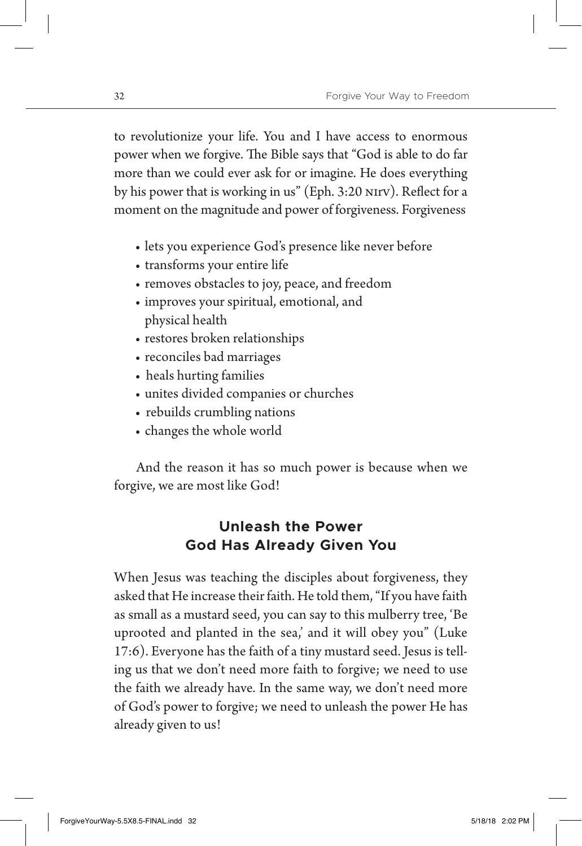to revolutionize your life. You and I have access to enormous power when we forgive. The Bible says that "God is able to do far more than we could ever ask for or imagine. He does everything by his power that is working in us" (Eph. 3:20 nirv). Reflect for a moment on the magnitude and power of forgiveness. Forgiveness

- lets you experience God's presence like never before
- transforms your entire life
- removes obstacles to joy, peace, and freedom
- improves your spiritual, emotional, and physical health
- restores broken relationships
- reconciles bad marriages
- heals hurting families
- unites divided companies or churches
- rebuilds crumbling nations
- changes the whole world

And the reason it has so much power is because when we forgive, we are most like God!

### **Unleash the Power God Has Already Given You**

When Jesus was teaching the disciples about forgiveness, they asked that He increase their faith. He told them, "If you have faith as small as a mustard seed, you can say to this mulberry tree, 'Be uprooted and planted in the sea,' and it will obey you" (Luke 17:6). Everyone has the faith of a tiny mustard seed. Jesus is telling us that we don't need more faith to forgive; we need to use the faith we already have. In the same way, we don't need more of God's power to forgive; we need to unleash the power He has already given to us!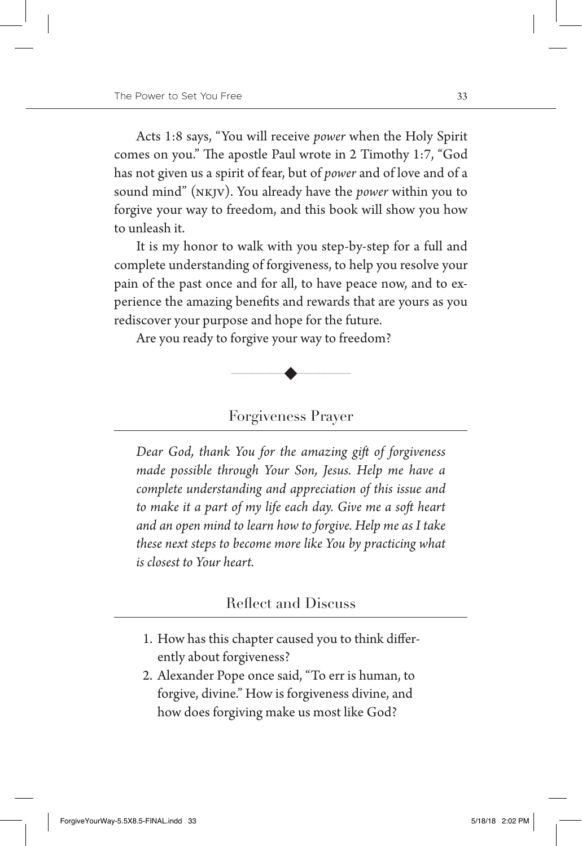Acts 1:8 says, "You will receive *power* when the Holy Spirit comes on you." The apostle Paul wrote in 2 Timothy 1:7, "God has not given us a spirit of fear, but of *power* and of love and of a sound mind" (nkjv). You already have the *power* within you to forgive your way to freedom, and this book will show you how to unleash it.

It is my honor to walk with you step-by-step for a full and complete understanding of forgiveness, to help you resolve your pain of the past once and for all, to have peace now, and to experience the amazing benefits and rewards that are yours as you rediscover your purpose and hope for the future.

Are you ready to forgive your way to freedom?



Forgiveness Prayer

*Dear God, thank You for the amazing gift of forgiveness made possible through Your Son, Jesus. Help me have a complete understanding and appreciation of this issue and to make it a part of my life each day. Give me a soft heart and an open mind to learn how to forgive. Help me as I take these next steps to become more like You by practicing what is closest to Your heart.*

Reflect and Discuss

- 1. How has this chapter caused you to think differently about forgiveness?
- 2. Alexander Pope once said, "To err is human, to forgive, divine." How is forgiveness divine, and how does forgiving make us most like God?